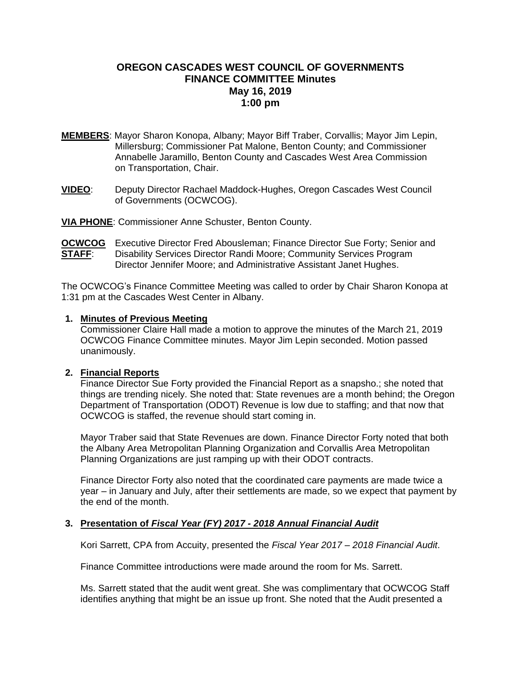# **OREGON CASCADES WEST COUNCIL OF GOVERNMENTS FINANCE COMMITTEE Minutes May 16, 2019 1:00 pm**

- **MEMBERS**: Mayor Sharon Konopa, Albany; Mayor Biff Traber, Corvallis; Mayor Jim Lepin, Millersburg; Commissioner Pat Malone, Benton County; and Commissioner Annabelle Jaramillo, Benton County and Cascades West Area Commission on Transportation, Chair.
- **VIDEO**: Deputy Director Rachael Maddock-Hughes, Oregon Cascades West Council of Governments (OCWCOG).

**VIA PHONE**: Commissioner Anne Schuster, Benton County.

**OCWCOG** Executive Director Fred Abousleman; Finance Director Sue Forty; Senior and **STAFF**: Disability Services Director Randi Moore; Community Services Program Director Jennifer Moore; and Administrative Assistant Janet Hughes.

The OCWCOG's Finance Committee Meeting was called to order by Chair Sharon Konopa at 1:31 pm at the Cascades West Center in Albany.

## **1. Minutes of Previous Meeting**

Commissioner Claire Hall made a motion to approve the minutes of the March 21, 2019 OCWCOG Finance Committee minutes. Mayor Jim Lepin seconded. Motion passed unanimously.

## **2. Financial Reports**

Finance Director Sue Forty provided the Financial Report as a snapsho.; she noted that things are trending nicely. She noted that: State revenues are a month behind; the Oregon Department of Transportation (ODOT) Revenue is low due to staffing; and that now that OCWCOG is staffed, the revenue should start coming in.

Mayor Traber said that State Revenues are down. Finance Director Forty noted that both the Albany Area Metropolitan Planning Organization and Corvallis Area Metropolitan Planning Organizations are just ramping up with their ODOT contracts.

Finance Director Forty also noted that the coordinated care payments are made twice a year – in January and July, after their settlements are made, so we expect that payment by the end of the month.

## **3. Presentation of** *Fiscal Year (FY) 2017 - 2018 Annual Financial Audit*

Kori Sarrett, CPA from Accuity, presented the *Fiscal Year 2017 – 2018 Financial Audit*.

Finance Committee introductions were made around the room for Ms. Sarrett.

Ms. Sarrett stated that the audit went great. She was complimentary that OCWCOG Staff identifies anything that might be an issue up front. She noted that the Audit presented a